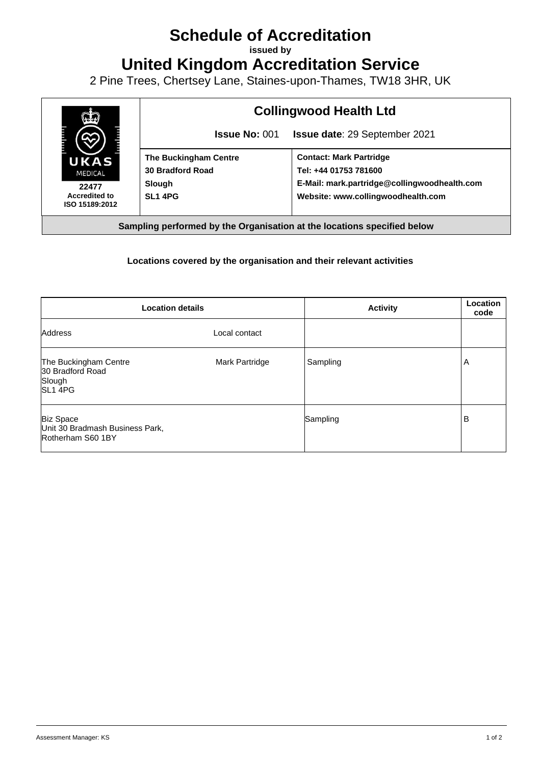## **Schedule of Accreditation**

**issued by**

**United Kingdom Accreditation Service**

2 Pine Trees, Chertsey Lane, Staines-upon-Thames, TW18 3HR, UK



## **Locations covered by the organisation and their relevant activities**

| <b>Location details</b>                                                    |                | <b>Activity</b> | Location<br>code |
|----------------------------------------------------------------------------|----------------|-----------------|------------------|
| <b>Address</b>                                                             | Local contact  |                 |                  |
| The Buckingham Centre<br>30 Bradford Road<br>Slough<br>SL <sub>1</sub> 4PG | Mark Partridge | Sampling        | A                |
| <b>Biz Space</b><br>Unit 30 Bradmash Business Park,<br>Rotherham S60 1BY   |                | Sampling        | B                |